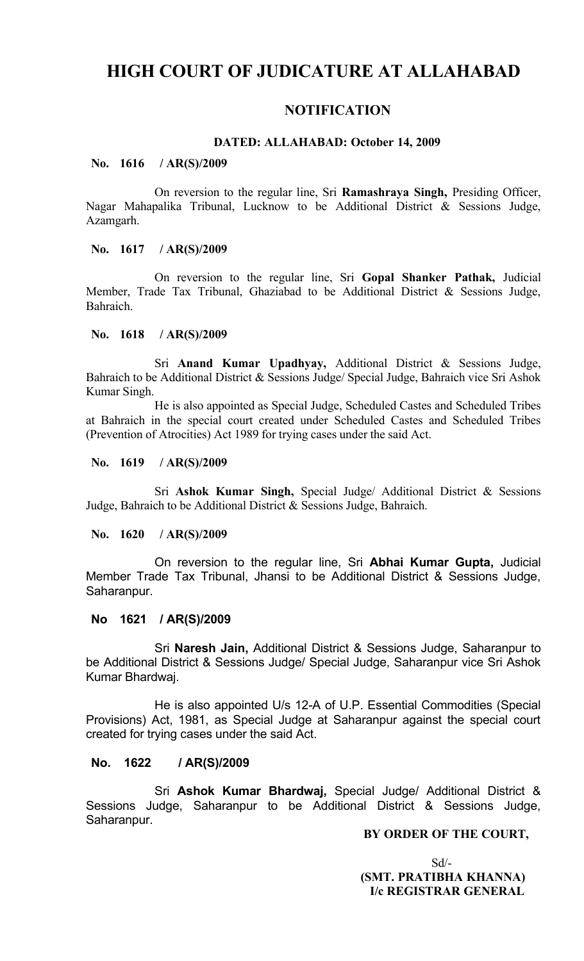# **HIGH COURT OF JUDICATURE AT ALLAHABAD**

## **NOTIFICATION**

## **DATED: ALLAHABAD: October 14, 2009**

#### **No. 1616 / AR(S)/2009**

On reversion to the regular line, Sri **Ramashraya Singh,** Presiding Officer, Nagar Mahapalika Tribunal, Lucknow to be Additional District & Sessions Judge, Azamgarh.

## **No. 1617 / AR(S)/2009**

On reversion to the regular line, Sri **Gopal Shanker Pathak,** Judicial Member, Trade Tax Tribunal, Ghaziabad to be Additional District & Sessions Judge, Bahraich.

## **No. 1618 / AR(S)/2009**

Sri **Anand Kumar Upadhyay,** Additional District & Sessions Judge, Bahraich to be Additional District & Sessions Judge/ Special Judge, Bahraich vice Sri Ashok Kumar Singh.

He is also appointed as Special Judge, Scheduled Castes and Scheduled Tribes at Bahraich in the special court created under Scheduled Castes and Scheduled Tribes (Prevention of Atrocities) Act 1989 for trying cases under the said Act.

## **No. 1619 / AR(S)/2009**

Sri **Ashok Kumar Singh,** Special Judge/ Additional District & Sessions Judge, Bahraich to be Additional District & Sessions Judge, Bahraich.

#### **No. 1620 / AR(S)/2009**

On reversion to the regular line, Sri **Abhai Kumar Gupta,** Judicial Member Trade Tax Tribunal, Jhansi to be Additional District & Sessions Judge, Saharanpur.

## **No 1621 / AR(S)/2009**

Sri **Naresh Jain,** Additional District & Sessions Judge, Saharanpur to be Additional District & Sessions Judge/ Special Judge, Saharanpur vice Sri Ashok Kumar Bhardwaj.

He is also appointed U/s 12-A of U.P. Essential Commodities (Special Provisions) Act, 1981, as Special Judge at Saharanpur against the special court created for trying cases under the said Act.

## **No. 1622 / AR(S)/2009**

Sri **Ashok Kumar Bhardwaj,** Special Judge/ Additional District & Sessions Judge, Saharanpur to be Additional District & Sessions Judge, Saharanpur.

## **BY ORDER OF THE COURT,**

 $Sd$ - **(SMT. PRATIBHA KHANNA) I/c REGISTRAR GENERAL**